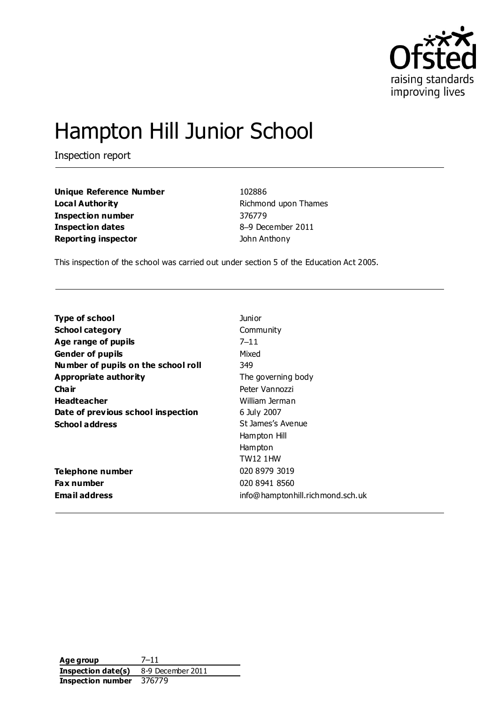

# Hampton Hill Junior School

Inspection report

**Unique Reference Number** 102886 **Local Authority Richmond upon Thames Inspection number** 376779 **Inspection dates** 8–9 December 2011 **Reporting inspector Contract Acts** John Anthony

This inspection of the school was carried out under section 5 of the Education Act 2005.

| <b>Type of school</b>               | Junior                           |
|-------------------------------------|----------------------------------|
| <b>School category</b>              | Community                        |
| Age range of pupils                 | $7 - 11$                         |
| <b>Gender of pupils</b>             | Mixed                            |
| Number of pupils on the school roll | 349                              |
| Appropriate authority               | The governing body               |
| Cha ir                              | Peter Vannozzi                   |
| <b>Headteacher</b>                  | William Jerman                   |
| Date of previous school inspection  | 6 July 2007                      |
| <b>School address</b>               | St James's Avenue                |
|                                     | Hampton Hill                     |
|                                     | Hampton                          |
|                                     | <b>TW12 1HW</b>                  |
| Telephone number                    | 020 8979 3019                    |
| <b>Fax number</b>                   | 020 8941 8560                    |
| Email address                       | info@hamptonhill.richmond.sch.uk |

**Age group** 7–11 **Inspection date(s)** 8-9 December 2011 **Inspection number** 376779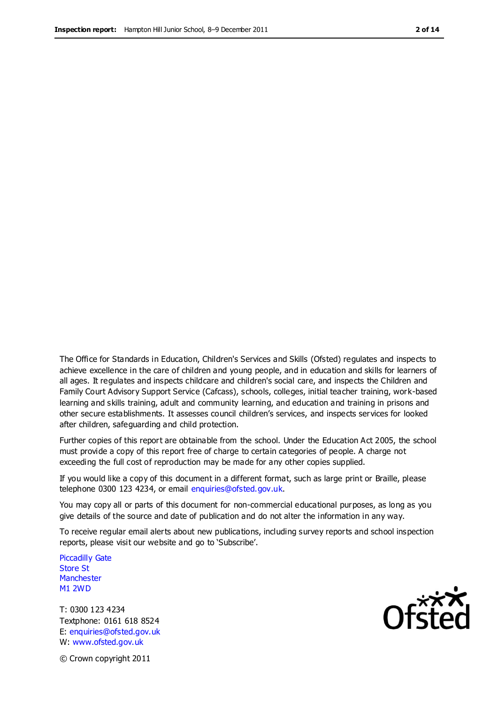The Office for Standards in Education, Children's Services and Skills (Ofsted) regulates and inspects to achieve excellence in the care of children and young people, and in education and skills for learners of all ages. It regulates and inspects childcare and children's social care, and inspects the Children and Family Court Advisory Support Service (Cafcass), schools, colleges, initial teacher training, work-based learning and skills training, adult and community learning, and education and training in prisons and other secure establishments. It assesses council children's services, and inspects services for looked after children, safeguarding and child protection.

Further copies of this report are obtainable from the school. Under the Education Act 2005, the school must provide a copy of this report free of charge to certain categories of people. A charge not exceeding the full cost of reproduction may be made for any other copies supplied.

If you would like a copy of this document in a different format, such as large print or Braille, please telephone 0300 123 4234, or email enquiries@ofsted.gov.uk.

You may copy all or parts of this document for non-commercial educational purposes, as long as you give details of the source and date of publication and do not alter the information in any way.

To receive regular email alerts about new publications, including survey reports and school inspection reports, please visit our website and go to 'Subscribe'.

Piccadilly Gate Store St **Manchester** M1 2WD

T: 0300 123 4234 Textphone: 0161 618 8524 E: enquiries@ofsted.gov.uk W: www.ofsted.gov.uk

Ofsted

© Crown copyright 2011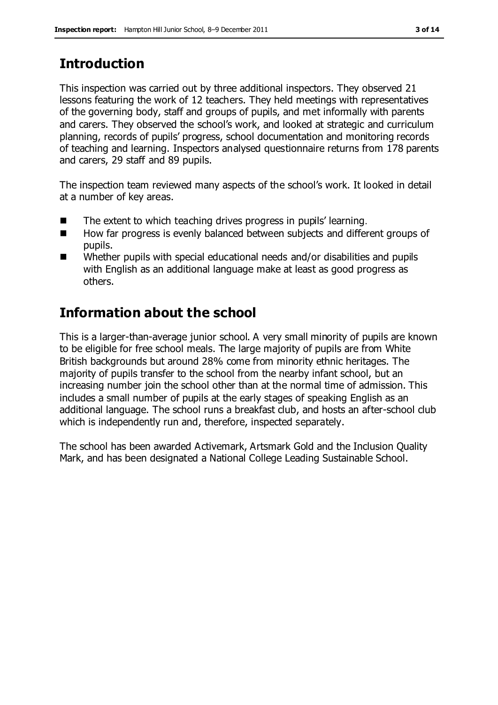# **Introduction**

This inspection was carried out by three additional inspectors. They observed 21 lessons featuring the work of 12 teachers. They held meetings with representatives of the governing body, staff and groups of pupils, and met informally with parents and carers. They observed the school's work, and looked at strategic and curriculum planning, records of pupils' progress, school documentation and monitoring records of teaching and learning. Inspectors analysed questionnaire returns from 178 parents and carers, 29 staff and 89 pupils.

The inspection team reviewed many aspects of the school's work. It looked in detail at a number of key areas.

- The extent to which teaching drives progress in pupils' learning.
- How far progress is evenly balanced between subjects and different groups of pupils.
- Whether pupils with special educational needs and/or disabilities and pupils with English as an additional language make at least as good progress as others.

# **Information about the school**

This is a larger-than-average junior school. A very small minority of pupils are known to be eligible for free school meals. The large majority of pupils are from White British backgrounds but around 28% come from minority ethnic heritages. The majority of pupils transfer to the school from the nearby infant school, but an increasing number join the school other than at the normal time of admission. This includes a small number of pupils at the early stages of speaking English as an additional language. The school runs a breakfast club, and hosts an after-school club which is independently run and, therefore, inspected separately.

The school has been awarded Activemark, Artsmark Gold and the Inclusion Quality Mark, and has been designated a National College Leading Sustainable School.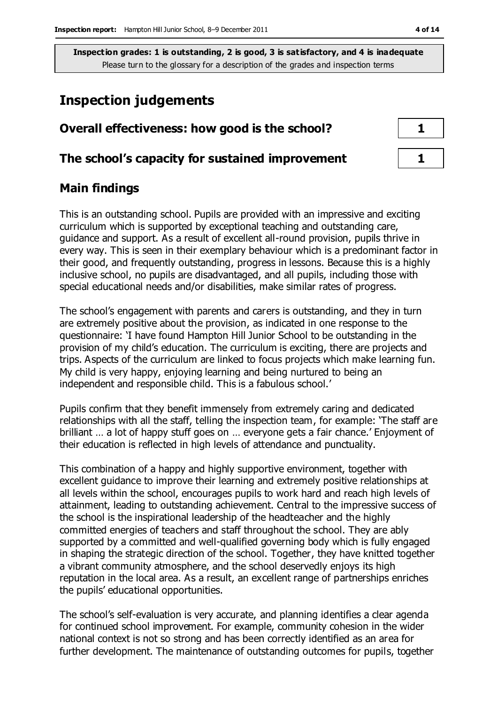# **Inspection judgements**

| Overall effectiveness: how good is the school?  |  |
|-------------------------------------------------|--|
| The school's capacity for sustained improvement |  |

# **Main findings**

This is an outstanding school. Pupils are provided with an impressive and exciting curriculum which is supported by exceptional teaching and outstanding care, guidance and support. As a result of excellent all-round provision, pupils thrive in every way. This is seen in their exemplary behaviour which is a predominant factor in their good, and frequently outstanding, progress in lessons. Because this is a highly inclusive school, no pupils are disadvantaged, and all pupils, including those with special educational needs and/or disabilities, make similar rates of progress.

The school's engagement with parents and carers is outstanding, and they in turn are extremely positive about the provision, as indicated in one response to the questionnaire: 'I have found Hampton Hill Junior School to be outstanding in the provision of my child's education. The curriculum is exciting, there are projects and trips. Aspects of the curriculum are linked to focus projects which make learning fun. My child is very happy, enjoying learning and being nurtured to being an independent and responsible child. This is a fabulous school.'

Pupils confirm that they benefit immensely from extremely caring and dedicated relationships with all the staff, telling the inspection team, for example: 'The staff are brilliant … a lot of happy stuff goes on … everyone gets a fair chance.' Enjoyment of their education is reflected in high levels of attendance and punctuality.

This combination of a happy and highly supportive environment, together with excellent guidance to improve their learning and extremely positive relationships at all levels within the school, encourages pupils to work hard and reach high levels of attainment, leading to outstanding achievement. Central to the impressive success of the school is the inspirational leadership of the headteacher and the highly committed energies of teachers and staff throughout the school. They are ably supported by a committed and well-qualified governing body which is fully engaged in shaping the strategic direction of the school. Together, they have knitted together a vibrant community atmosphere, and the school deservedly enjoys its high reputation in the local area. As a result, an excellent range of partnerships enriches the pupils' educational opportunities.

The school's self-evaluation is very accurate, and planning identifies a clear agenda for continued school improvement. For example, community cohesion in the wider national context is not so strong and has been correctly identified as an area for further development. The maintenance of outstanding outcomes for pupils, together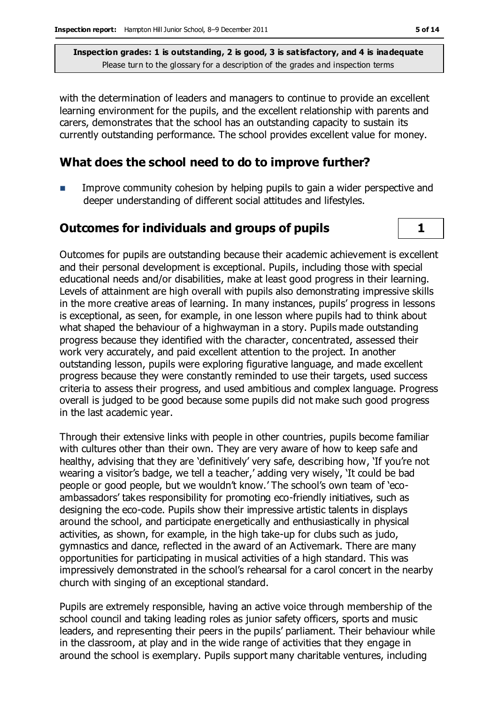with the determination of leaders and managers to continue to provide an excellent learning environment for the pupils, and the excellent relationship with parents and carers, demonstrates that the school has an outstanding capacity to sustain its currently outstanding performance. The school provides excellent value for money.

### **What does the school need to do to improve further?**

 Improve community cohesion by helping pupils to gain a wider perspective and deeper understanding of different social attitudes and lifestyles.

### **Outcomes for individuals and groups of pupils 1**

Outcomes for pupils are outstanding because their academic achievement is excellent and their personal development is exceptional. Pupils, including those with special educational needs and/or disabilities, make at least good progress in their learning. Levels of attainment are high overall with pupils also demonstrating impressive skills in the more creative areas of learning. In many instances, pupils' progress in lessons is exceptional, as seen, for example, in one lesson where pupils had to think about what shaped the behaviour of a highwayman in a story. Pupils made outstanding progress because they identified with the character, concentrated, assessed their work very accurately, and paid excellent attention to the project. In another outstanding lesson, pupils were exploring figurative language, and made excellent progress because they were constantly reminded to use their targets, used success criteria to assess their progress, and used ambitious and complex language. Progress overall is judged to be good because some pupils did not make such good progress in the last academic year.

Through their extensive links with people in other countries, pupils become familiar with cultures other than their own. They are very aware of how to keep safe and healthy, advising that they are 'definitively' very safe, describing how, 'If you're not wearing a visitor's badge, we tell a teacher,' adding very wisely, 'It could be bad people or good people, but we wouldn't know.' The school's own team of 'ecoambassadors' takes responsibility for promoting eco-friendly initiatives, such as designing the eco-code. Pupils show their impressive artistic talents in displays around the school, and participate energetically and enthusiastically in physical activities, as shown, for example, in the high take-up for clubs such as judo, gymnastics and dance, reflected in the award of an Activemark. There are many opportunities for participating in musical activities of a high standard. This was impressively demonstrated in the school's rehearsal for a carol concert in the nearby church with singing of an exceptional standard.

Pupils are extremely responsible, having an active voice through membership of the school council and taking leading roles as junior safety officers, sports and music leaders, and representing their peers in the pupils' parliament. Their behaviour while in the classroom, at play and in the wide range of activities that they engage in around the school is exemplary. Pupils support many charitable ventures, including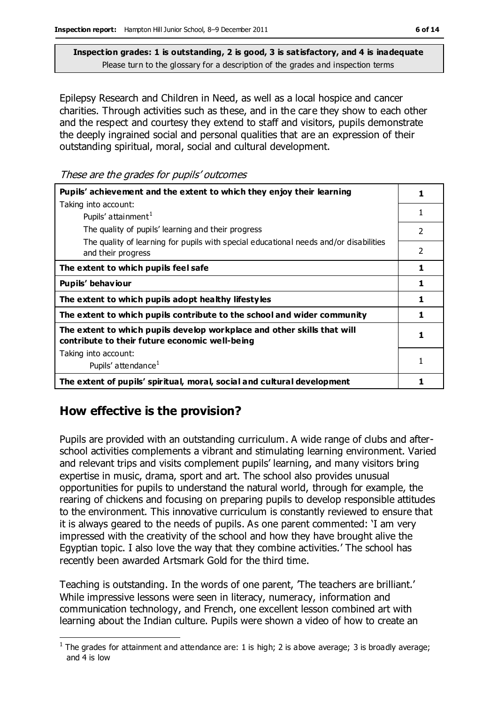Epilepsy Research and Children in Need, as well as a local hospice and cancer charities. Through activities such as these, and in the care they show to each other and the respect and courtesy they extend to staff and visitors, pupils demonstrate the deeply ingrained social and personal qualities that are an expression of their outstanding spiritual, moral, social and cultural development.

These are the grades for pupils' outcomes

| Pupils' achievement and the extent to which they enjoy their learning                                                     |   |  |
|---------------------------------------------------------------------------------------------------------------------------|---|--|
| Taking into account:                                                                                                      |   |  |
| Pupils' attainment <sup>1</sup>                                                                                           | 1 |  |
| The quality of pupils' learning and their progress                                                                        | 2 |  |
| The quality of learning for pupils with special educational needs and/or disabilities<br>and their progress               | 2 |  |
| The extent to which pupils feel safe                                                                                      | 1 |  |
| Pupils' behaviour                                                                                                         | 1 |  |
| The extent to which pupils adopt healthy lifestyles                                                                       |   |  |
| The extent to which pupils contribute to the school and wider community                                                   |   |  |
| The extent to which pupils develop workplace and other skills that will<br>contribute to their future economic well-being |   |  |
| Taking into account:                                                                                                      |   |  |
| Pupils' attendance <sup>1</sup>                                                                                           |   |  |
| The extent of pupils' spiritual, moral, social and cultural development                                                   |   |  |

# **How effective is the provision?**

Pupils are provided with an outstanding curriculum. A wide range of clubs and afterschool activities complements a vibrant and stimulating learning environment. Varied and relevant trips and visits complement pupils' learning, and many visitors bring expertise in music, drama, sport and art. The school also provides unusual opportunities for pupils to understand the natural world, through for example, the rearing of chickens and focusing on preparing pupils to develop responsible attitudes to the environment. This innovative curriculum is constantly reviewed to ensure that it is always geared to the needs of pupils. As one parent commented: 'I am very impressed with the creativity of the school and how they have brought alive the Egyptian topic. I also love the way that they combine activities.' The school has recently been awarded Artsmark Gold for the third time.

Teaching is outstanding. In the words of one parent, 'The teachers are brilliant.' While impressive lessons were seen in literacy, numeracy, information and communication technology, and French, one excellent lesson combined art with learning about the Indian culture. Pupils were shown a video of how to create an

 $\overline{a}$ <sup>1</sup> The grades for attainment and attendance are: 1 is high; 2 is above average; 3 is broadly average; and 4 is low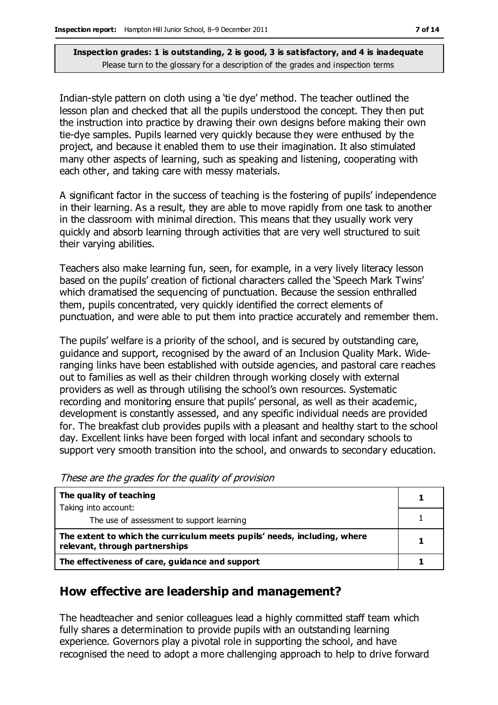Indian-style pattern on cloth using a 'tie dye' method. The teacher outlined the lesson plan and checked that all the pupils understood the concept. They then put the instruction into practice by drawing their own designs before making their own tie-dye samples. Pupils learned very quickly because they were enthused by the project, and because it enabled them to use their imagination. It also stimulated many other aspects of learning, such as speaking and listening, cooperating with each other, and taking care with messy materials.

A significant factor in the success of teaching is the fostering of pupils' independence in their learning. As a result, they are able to move rapidly from one task to another in the classroom with minimal direction. This means that they usually work very quickly and absorb learning through activities that are very well structured to suit their varying abilities.

Teachers also make learning fun, seen, for example, in a very lively literacy lesson based on the pupils' creation of fictional characters called the 'Speech Mark Twins' which dramatised the sequencing of punctuation. Because the session enthralled them, pupils concentrated, very quickly identified the correct elements of punctuation, and were able to put them into practice accurately and remember them.

The pupils' welfare is a priority of the school, and is secured by outstanding care, guidance and support, recognised by the award of an Inclusion Quality Mark. Wideranging links have been established with outside agencies, and pastoral care reaches out to families as well as their children through working closely with external providers as well as through utilising the school's own resources. Systematic recording and monitoring ensure that pupils' personal, as well as their academic, development is constantly assessed, and any specific individual needs are provided for. The breakfast club provides pupils with a pleasant and healthy start to the school day. Excellent links have been forged with local infant and secondary schools to support very smooth transition into the school, and onwards to secondary education.

These are the grades for the quality of provision

| The quality of teaching                                                                                    |  |
|------------------------------------------------------------------------------------------------------------|--|
| Taking into account:                                                                                       |  |
| The use of assessment to support learning                                                                  |  |
| The extent to which the curriculum meets pupils' needs, including, where<br>relevant, through partnerships |  |
| The effectiveness of care, guidance and support                                                            |  |

### **How effective are leadership and management?**

The headteacher and senior colleagues lead a highly committed staff team which fully shares a determination to provide pupils with an outstanding learning experience. Governors play a pivotal role in supporting the school, and have recognised the need to adopt a more challenging approach to help to drive forward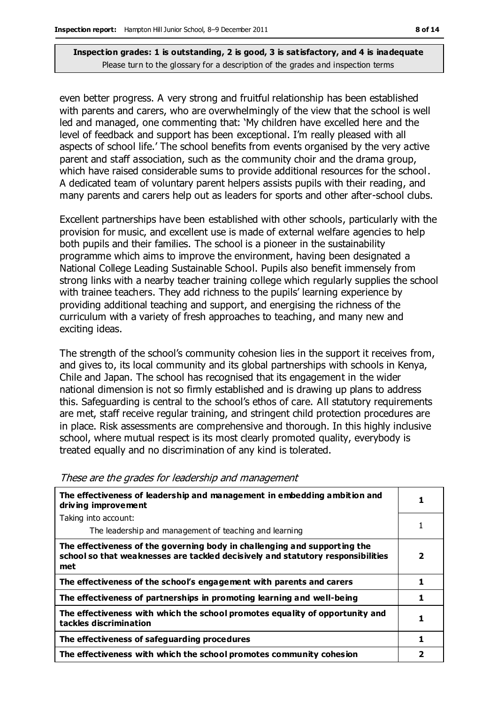even better progress. A very strong and fruitful relationship has been established with parents and carers, who are overwhelmingly of the view that the school is well led and managed, one commenting that: 'My children have excelled here and the level of feedback and support has been exceptional. I'm really pleased with all aspects of school life.' The school benefits from events organised by the very active parent and staff association, such as the community choir and the drama group, which have raised considerable sums to provide additional resources for the school. A dedicated team of voluntary parent helpers assists pupils with their reading, and many parents and carers help out as leaders for sports and other after-school clubs.

Excellent partnerships have been established with other schools, particularly with the provision for music, and excellent use is made of external welfare agencies to help both pupils and their families. The school is a pioneer in the sustainability programme which aims to improve the environment, having been designated a National College Leading Sustainable School. Pupils also benefit immensely from strong links with a nearby teacher training college which regularly supplies the school with trainee teachers. They add richness to the pupils' learning experience by providing additional teaching and support, and energising the richness of the curriculum with a variety of fresh approaches to teaching, and many new and exciting ideas.

The strength of the school's community cohesion lies in the support it receives from, and gives to, its local community and its global partnerships with schools in Kenya, Chile and Japan. The school has recognised that its engagement in the wider national dimension is not so firmly established and is drawing up plans to address this. Safeguarding is central to the school's ethos of care. All statutory requirements are met, staff receive regular training, and stringent child protection procedures are in place. Risk assessments are comprehensive and thorough. In this highly inclusive school, where mutual respect is its most clearly promoted quality, everybody is treated equally and no discrimination of any kind is tolerated.

| The effectiveness of leadership and management in embedding ambition and<br>driving improvement                                                                     |   |  |
|---------------------------------------------------------------------------------------------------------------------------------------------------------------------|---|--|
| Taking into account:                                                                                                                                                |   |  |
| The leadership and management of teaching and learning                                                                                                              |   |  |
| The effectiveness of the governing body in challenging and supporting the<br>school so that weaknesses are tackled decisively and statutory responsibilities<br>met | 2 |  |
| The effectiveness of the school's engagement with parents and carers                                                                                                |   |  |
| The effectiveness of partnerships in promoting learning and well-being                                                                                              | 1 |  |
| The effectiveness with which the school promotes equality of opportunity and<br>tackles discrimination                                                              |   |  |
| The effectiveness of safeguarding procedures                                                                                                                        |   |  |
| The effectiveness with which the school promotes community cohesion                                                                                                 |   |  |

#### These are the grades for leadership and management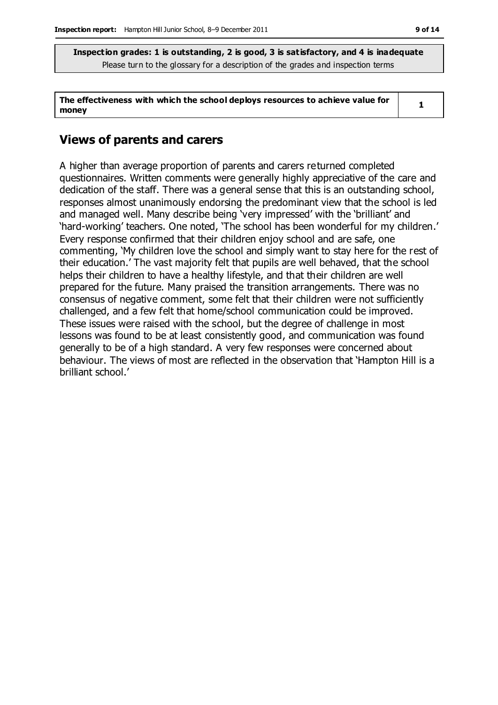**The effectiveness with which the school deploys resources to achieve value for money**

**1**

### **Views of parents and carers**

A higher than average proportion of parents and carers returned completed questionnaires. Written comments were generally highly appreciative of the care and dedication of the staff. There was a general sense that this is an outstanding school, responses almost unanimously endorsing the predominant view that the school is led and managed well. Many describe being 'very impressed' with the 'brilliant' and 'hard-working' teachers. One noted, 'The school has been wonderful for my children.' Every response confirmed that their children enjoy school and are safe, one commenting, 'My children love the school and simply want to stay here for the rest of their education.' The vast majority felt that pupils are well behaved, that the school helps their children to have a healthy lifestyle, and that their children are well prepared for the future. Many praised the transition arrangements. There was no consensus of negative comment, some felt that their children were not sufficiently challenged, and a few felt that home/school communication could be improved. These issues were raised with the school, but the degree of challenge in most lessons was found to be at least consistently good, and communication was found generally to be of a high standard. A very few responses were concerned about behaviour. The views of most are reflected in the observation that 'Hampton Hill is a brilliant school.'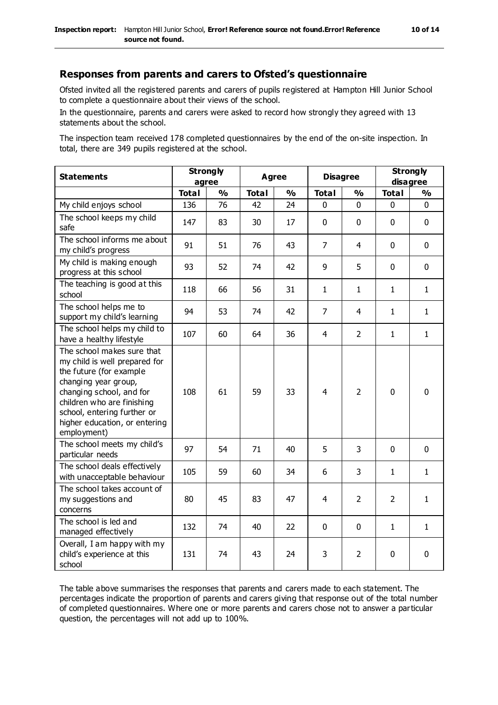Ofsted invited all the registered parents and carers of pupils registered at Hampton Hill Junior School to complete a questionnaire about their views of the school.

In the questionnaire, parents and carers were asked to record how strongly they agreed with 13 statements about the school.

The inspection team received 178 completed questionnaires by the end of the on-site inspection. In total, there are 349 pupils registered at the school.

| <b>Statements</b>                                                                                                                                                                                                                                       | <b>Strongly</b><br>agree |               | <b>Agree</b> |               | <b>Disagree</b> |                         | <b>Strongly</b><br>disagree |              |
|---------------------------------------------------------------------------------------------------------------------------------------------------------------------------------------------------------------------------------------------------------|--------------------------|---------------|--------------|---------------|-----------------|-------------------------|-----------------------------|--------------|
|                                                                                                                                                                                                                                                         | <b>Total</b>             | $\frac{1}{2}$ | <b>Total</b> | $\frac{1}{2}$ | <b>Total</b>    | $\mathbf{O}/\mathbf{O}$ | <b>Total</b>                | %            |
| My child enjoys school                                                                                                                                                                                                                                  | 136                      | 76            | 42           | 24            | $\Omega$        | $\Omega$                | $\mathbf 0$                 | $\mathbf 0$  |
| The school keeps my child<br>safe                                                                                                                                                                                                                       | 147                      | 83            | 30           | 17            | 0               | 0                       | $\mathbf 0$                 | $\mathbf{0}$ |
| The school informs me about<br>my child's progress                                                                                                                                                                                                      | 91                       | 51            | 76           | 43            | $\overline{7}$  | 4                       | $\mathbf 0$                 | $\mathbf 0$  |
| My child is making enough<br>progress at this school                                                                                                                                                                                                    | 93                       | 52            | 74           | 42            | 9               | 5                       | $\mathbf 0$                 | $\mathbf 0$  |
| The teaching is good at this<br>school                                                                                                                                                                                                                  | 118                      | 66            | 56           | 31            | $\mathbf{1}$    | $\mathbf{1}$            | $\mathbf{1}$                | $\mathbf{1}$ |
| The school helps me to<br>support my child's learning                                                                                                                                                                                                   | 94                       | 53            | 74           | 42            | $\overline{7}$  | 4                       | $\mathbf{1}$                | $\mathbf{1}$ |
| The school helps my child to<br>have a healthy lifestyle                                                                                                                                                                                                | 107                      | 60            | 64           | 36            | $\overline{4}$  | $\overline{2}$          | $\mathbf{1}$                | $\mathbf{1}$ |
| The school makes sure that<br>my child is well prepared for<br>the future (for example<br>changing year group,<br>changing school, and for<br>children who are finishing<br>school, entering further or<br>higher education, or entering<br>employment) | 108                      | 61            | 59           | 33            | 4               | $\overline{2}$          | $\mathbf 0$                 | $\mathbf 0$  |
| The school meets my child's<br>particular needs                                                                                                                                                                                                         | 97                       | 54            | 71           | 40            | 5               | 3                       | $\mathbf 0$                 | $\mathbf 0$  |
| The school deals effectively<br>with unacceptable behaviour                                                                                                                                                                                             | 105                      | 59            | 60           | 34            | 6               | 3                       | $\mathbf{1}$                | $\mathbf{1}$ |
| The school takes account of<br>my suggestions and<br>concerns                                                                                                                                                                                           | 80                       | 45            | 83           | 47            | 4               | 2                       | $\overline{2}$              | $\mathbf{1}$ |
| The school is led and<br>managed effectively                                                                                                                                                                                                            | 132                      | 74            | 40           | 22            | 0               | 0                       | $\mathbf{1}$                | $\mathbf{1}$ |
| Overall, I am happy with my<br>child's experience at this<br>school                                                                                                                                                                                     | 131                      | 74            | 43           | 24            | 3               | $\overline{2}$          | $\mathbf 0$                 | $\mathbf 0$  |

The table above summarises the responses that parents and carers made to each statement. The percentages indicate the proportion of parents and carers giving that response out of the total number of completed questionnaires. Where one or more parents and carers chose not to answer a particular question, the percentages will not add up to 100%.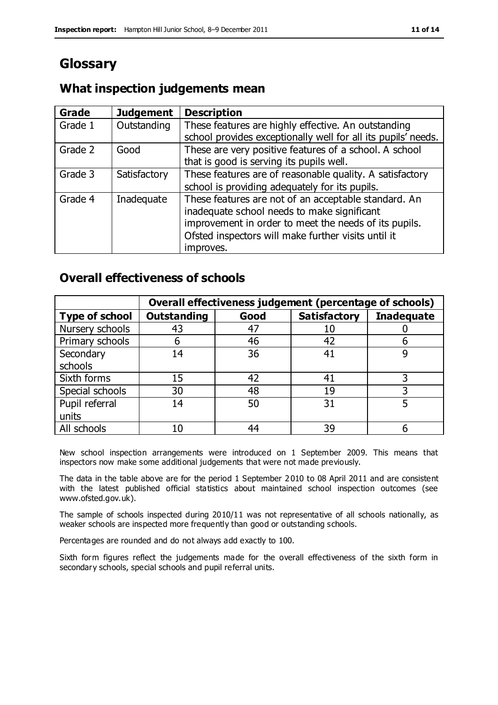# **Glossary**

# **What inspection judgements mean**

| Grade   | <b>Judgement</b> | <b>Description</b>                                            |
|---------|------------------|---------------------------------------------------------------|
| Grade 1 | Outstanding      | These features are highly effective. An outstanding           |
|         |                  | school provides exceptionally well for all its pupils' needs. |
| Grade 2 | Good             | These are very positive features of a school. A school        |
|         |                  | that is good is serving its pupils well.                      |
| Grade 3 | Satisfactory     | These features are of reasonable quality. A satisfactory      |
|         |                  | school is providing adequately for its pupils.                |
| Grade 4 | Inadequate       | These features are not of an acceptable standard. An          |
|         |                  | inadequate school needs to make significant                   |
|         |                  | improvement in order to meet the needs of its pupils.         |
|         |                  | Ofsted inspectors will make further visits until it           |
|         |                  | improves.                                                     |

# **Overall effectiveness of schools**

|                       | Overall effectiveness judgement (percentage of schools) |      |                     |                   |
|-----------------------|---------------------------------------------------------|------|---------------------|-------------------|
| <b>Type of school</b> | <b>Outstanding</b>                                      | Good | <b>Satisfactory</b> | <b>Inadequate</b> |
| Nursery schools       | 43                                                      | 47   |                     |                   |
| Primary schools       | h                                                       | 46   | 42                  |                   |
| Secondary             | 14                                                      | 36   | 41                  |                   |
| schools               |                                                         |      |                     |                   |
| Sixth forms           | 15                                                      | 42   | 41                  | 3                 |
| Special schools       | 30                                                      | 48   | 19                  |                   |
| Pupil referral        | 14                                                      | 50   | 31                  |                   |
| units                 |                                                         |      |                     |                   |
| All schools           | 10                                                      | 44   | 39                  |                   |

New school inspection arrangements were introduced on 1 September 2009. This means that inspectors now make some additional judgements that were not made previously.

The data in the table above are for the period 1 September 2 010 to 08 April 2011 and are consistent with the latest published official statistics about maintained school inspection outcomes (see www.ofsted.gov.uk).

The sample of schools inspected during 2010/11 was not representative of all schools nationally, as weaker schools are inspected more frequently than good or outstanding schools.

Percentages are rounded and do not always add exactly to 100.

Sixth form figures reflect the judgements made for the overall effectiveness of the sixth form in secondary schools, special schools and pupil referral units.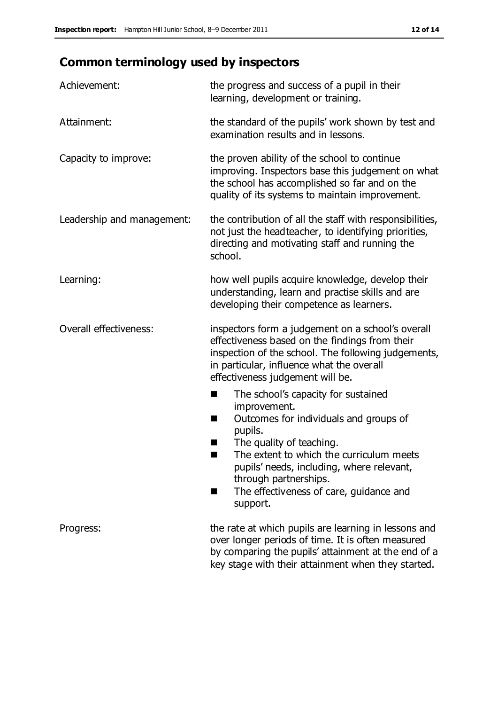# **Common terminology used by inspectors**

| Achievement:               | the progress and success of a pupil in their<br>learning, development or training.                                                                                                                                                                                                                                                |  |  |
|----------------------------|-----------------------------------------------------------------------------------------------------------------------------------------------------------------------------------------------------------------------------------------------------------------------------------------------------------------------------------|--|--|
| Attainment:                | the standard of the pupils' work shown by test and<br>examination results and in lessons.                                                                                                                                                                                                                                         |  |  |
| Capacity to improve:       | the proven ability of the school to continue<br>improving. Inspectors base this judgement on what<br>the school has accomplished so far and on the<br>quality of its systems to maintain improvement.                                                                                                                             |  |  |
| Leadership and management: | the contribution of all the staff with responsibilities,<br>not just the headteacher, to identifying priorities,<br>directing and motivating staff and running the<br>school.                                                                                                                                                     |  |  |
| Learning:                  | how well pupils acquire knowledge, develop their<br>understanding, learn and practise skills and are<br>developing their competence as learners.                                                                                                                                                                                  |  |  |
| Overall effectiveness:     | inspectors form a judgement on a school's overall<br>effectiveness based on the findings from their<br>inspection of the school. The following judgements,<br>in particular, influence what the overall<br>effectiveness judgement will be.                                                                                       |  |  |
|                            | The school's capacity for sustained<br>improvement.<br>Outcomes for individuals and groups of<br>H<br>pupils.<br>The quality of teaching.<br>ш<br>The extent to which the curriculum meets<br>ш<br>pupils' needs, including, where relevant,<br>through partnerships.<br>The effectiveness of care, guidance and<br>H<br>support. |  |  |
| Progress:                  | the rate at which pupils are learning in lessons and<br>over longer periods of time. It is often measured<br>by comparing the pupils' attainment at the end of a<br>key stage with their attainment when they started.                                                                                                            |  |  |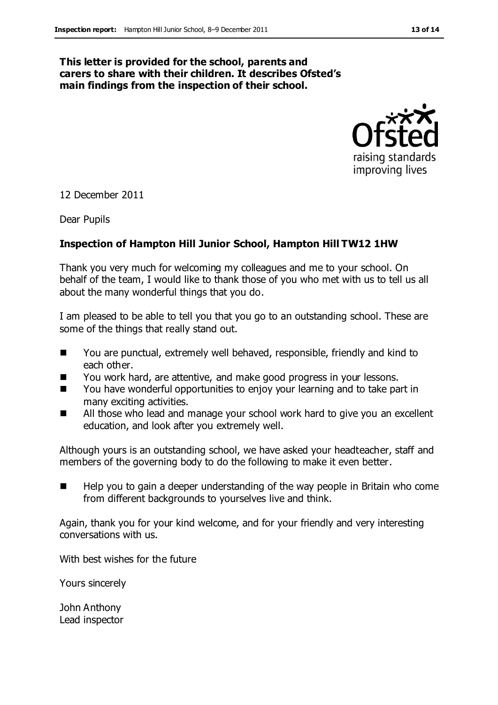#### **This letter is provided for the school, parents and carers to share with their children. It describes Ofsted's main findings from the inspection of their school.**



12 December 2011

Dear Pupils

#### **Inspection of Hampton Hill Junior School, Hampton Hill TW12 1HW**

Thank you very much for welcoming my colleagues and me to your school. On behalf of the team, I would like to thank those of you who met with us to tell us all about the many wonderful things that you do.

I am pleased to be able to tell you that you go to an outstanding school. These are some of the things that really stand out.

- You are punctual, extremely well behaved, responsible, friendly and kind to each other.
- You work hard, are attentive, and make good progress in your lessons.
- You have wonderful opportunities to enjoy your learning and to take part in many exciting activities.
- All those who lead and manage your school work hard to give you an excellent education, and look after you extremely well.

Although yours is an outstanding school, we have asked your headteacher, staff and members of the governing body to do the following to make it even better.

 Help you to gain a deeper understanding of the way people in Britain who come from different backgrounds to yourselves live and think.

Again, thank you for your kind welcome, and for your friendly and very interesting conversations with us.

With best wishes for the future

Yours sincerely

John Anthony Lead inspector